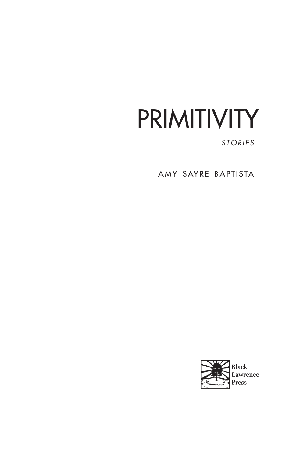# PRIMITIVITY

*STORIES*

AMY SAYRE BAPTISTA

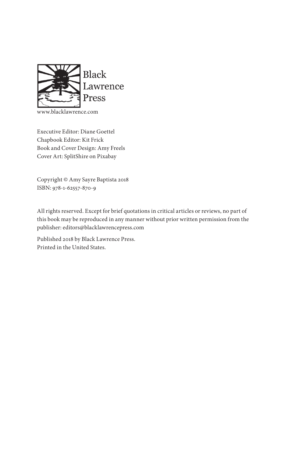

www.blacklawrence.com

Executive Editor: Diane Goettel Chapbook Editor: Kit Frick Book and Cover Design: Amy Freels Cover Art: SplitShire on Pixabay

Copyright © Amy Sayre Baptista 2018 ISBN: 978-1-62557-870-9

All rights reserved. Except for brief quotations in critical articles or reviews, no part of this book may be reproduced in any manner without prior written permission from the publisher: editors@blacklawrencepress.com

Published 2018 by Black Lawrence Press. Printed in the United States.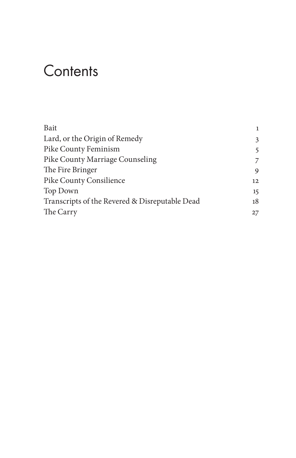## **Contents**

| Bait                                           | 1  |
|------------------------------------------------|----|
| Lard, or the Origin of Remedy                  | 3  |
| Pike County Feminism                           | 5  |
| Pike County Marriage Counseling                | 7  |
| The Fire Bringer                               | 9  |
| Pike County Consilience                        | 12 |
| Top Down                                       | 15 |
| Transcripts of the Revered & Disreputable Dead | 18 |
| The Carry                                      | 27 |
|                                                |    |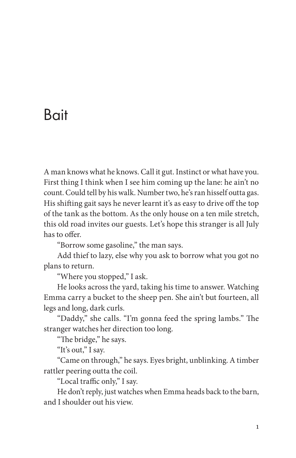### Bait

A man knows what he knows. Call it gut. Instinct or what have you. First thing I think when I see him coming up the lane: he ain't no count. Could tell by his walk. Number two, he's ran hisself outta gas. His shifting gait says he never learnt it's as easy to drive off the top of the tank as the bottom. As the only house on a ten mile stretch, this old road invites our guests. Let's hope this stranger is all July has to offer.

"Borrow some gasoline," the man says.

Add thief to lazy, else why you ask to borrow what you got no plans to return.

"Where you stopped," I ask.

He looks across the yard, taking his time to answer. Watching Emma carry a bucket to the sheep pen. She ain't but fourteen, all legs and long, dark curls.

"Daddy," she calls. "I'm gonna feed the spring lambs." The stranger watches her direction too long.

"The bridge," he says.

"It's out," I say.

"Came on through," he says. Eyes bright, unblinking. A timber rattler peering outta the coil.

"Local traffic only," I say.

He don't reply, just watches when Emma heads back to the barn, and I shoulder out his view.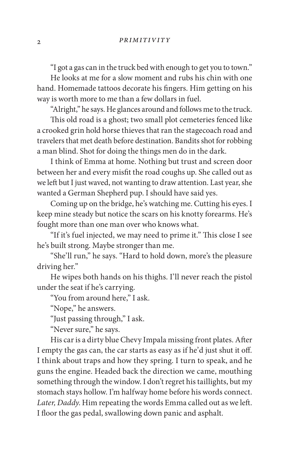"I got a gas can in the truck bed with enough to get you to town."

He looks at me for a slow moment and rubs his chin with one hand. Homemade tattoos decorate his fngers. Him getting on his way is worth more to me than a few dollars in fuel.

"Alright," he says. He glances around and follows me to the truck.

This old road is a ghost; two small plot cemeteries fenced like a crooked grin hold horse thieves that ran the stagecoach road and travelers that met death before destination. Bandits shot for robbing a man blind. Shot for doing the things men do in the dark.

I think of Emma at home. Nothing but trust and screen door between her and every misft the road coughs up. She called out as we left but I just waved, not wanting to draw attention. Last year, she wanted a German Shepherd pup. I should have said yes.

Coming up on the bridge, he's watching me. Cutting his eyes. I keep mine steady but notice the scars on his knotty forearms. He's fought more than one man over who knows what.

"If it's fuel injected, we may need to prime it." This close I see he's built strong. Maybe stronger than me.

"She'll run," he says. "Hard to hold down, more's the pleasure driving her."

He wipes both hands on his thighs. I'll never reach the pistol under the seat if he's carrying.

"You from around here," I ask.

"Nope," he answers.

"Just passing through," I ask.

"Never sure," he says.

His car is a dirty blue Chevy Impala missing front plates. Afer I empty the gas can, the car starts as easy as if he'd just shut it of. I think about traps and how they spring. I turn to speak, and he guns the engine. Headed back the direction we came, mouthing something through the window. I don't regret his taillights, but my stomach stays hollow. I'm halfway home before his words connect. *Later, Daddy*. Him repeating the words Emma called out as we lef. I floor the gas pedal, swallowing down panic and asphalt.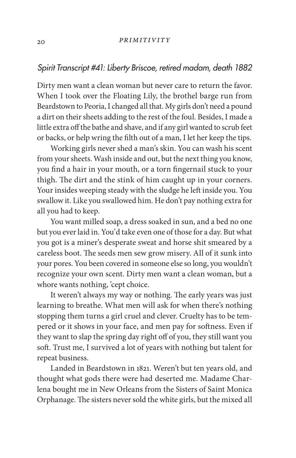#### *Spirit Transcript #41: Liberty Briscoe, retired madam, death 1882*

Dirty men want a clean woman but never care to return the favor. When I took over the Floating Lily, the brothel barge run from Beardstown to Peoria, I changed all that. My girls don't need a pound a dirt on their sheets adding to the rest of the foul. Besides, I made a little extra off the bathe and shave, and if any girl wanted to scrub feet or backs, or help wring the flth out of a man, I let her keep the tips.

Working girls never shed a man's skin. You can wash his scent from your sheets. Wash inside and out, but the next thing you know, you fnd a hair in your mouth, or a torn fngernail stuck to your thigh. The dirt and the stink of him caught up in your corners. Your insides weeping steady with the sludge he left inside you. You swallow it. Like you swallowed him. He don't pay nothing extra for all you had to keep.

You want milled soap, a dress soaked in sun, and a bed no one but you ever laid in. You'd take even one of those for a day. But what you got is a miner's desperate sweat and horse shit smeared by a careless boot. The seeds men sew grow misery. All of it sunk into your pores. You been covered in someone else so long, you wouldn't recognize your own scent. Dirty men want a clean woman, but a whore wants nothing, 'cept choice.

It weren't always my way or nothing. The early years was just learning to breathe. What men will ask for when there's nothing stopping them turns a girl cruel and clever. Cruelty has to be tempered or it shows in your face, and men pay for sofness. Even if they want to slap the spring day right off of you, they still want you soft. Trust me, I survived a lot of years with nothing but talent for repeat business.

Landed in Beardstown in 1821. Weren't but ten years old, and thought what gods there were had deserted me. Madame Charlena bought me in New Orleans from the Sisters of Saint Monica Orphanage. The sisters never sold the white girls, but the mixed all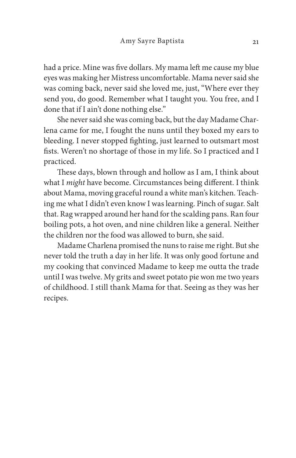had a price. Mine was five dollars. My mama left me cause my blue eyes was making her Mistress uncomfortable. Mama never said she was coming back, never said she loved me, just, "Where ever they send you, do good. Remember what I taught you. You free, and I done that if I ain't done nothing else."

She never said she was coming back, but the day Madame Charlena came for me, I fought the nuns until they boxed my ears to bleeding. I never stopped fghting, just learned to outsmart most fists. Weren't no shortage of those in my life. So I practiced and I practiced.

These days, blown through and hollow as I am, I think about what I *might* have become. Circumstances being diferent. I think about Mama, moving graceful round a white man's kitchen. Teaching me what I didn't even know I was learning. Pinch of sugar. Salt that. Rag wrapped around her hand for the scalding pans. Ran four boiling pots, a hot oven, and nine children like a general. Neither the children nor the food was allowed to burn, she said.

Madame Charlena promised the nuns to raise me right. But she never told the truth a day in her life. It was only good fortune and my cooking that convinced Madame to keep me outta the trade until I was twelve. My grits and sweet potato pie won me two years of childhood. I still thank Mama for that. Seeing as they was her recipes.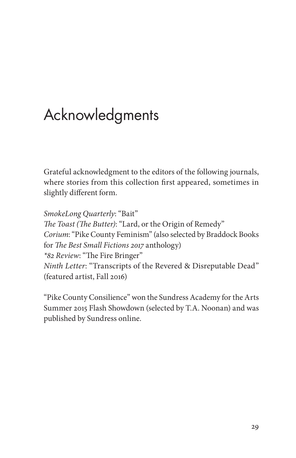# Acknowledgments

Grateful acknowledgment to the editors of the following journals, where stories from this collection frst appeared, sometimes in slightly diferent form.

*SmokeLong Quarterly*: "Bait" T*e Toast (*T*e Butter)*: "Lard, or the Origin of Remedy" *Corium*: "Pike County Feminism" (also selected by Braddock Books for T*e Best Small Fictions* 2017 anthology) *\*82 Review*: "The Fire Bringer" *Ninth Letter*: "Transcripts of the Revered & Disreputable Dead" (featured artist, Fall 2016)

"Pike County Consilience" won the Sundress Academy for the Arts Summer 2015 Flash Showdown (selected by T.A. Noonan) and was published by Sundress online.